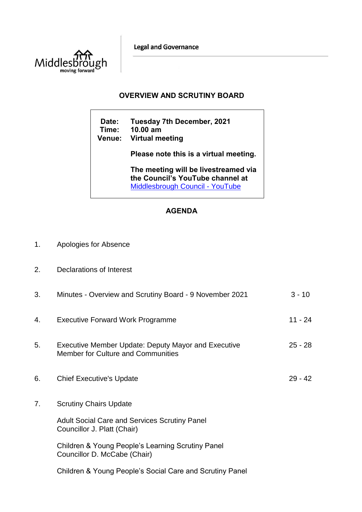**Legal and Governance** 



## **OVERVIEW AND SCRUTINY BOARD**

**Date: Tuesday 7th December, 2021 Time: 10.00 am Venue: Virtual meeting Please note this is a virtual meeting. The meeting will be livestreamed via the Council's YouTube channel at**  [Middlesbrough Council -](https://www.youtube.com/user/middlesbroughcouncil) YouTube

## **AGENDA**

- 1. Apologies for Absence
- 2. Declarations of Interest

| 3. | Minutes - Overview and Scrutiny Board - 9 November 2021                                   | $3 - 10$  |
|----|-------------------------------------------------------------------------------------------|-----------|
| 4. | <b>Executive Forward Work Programme</b>                                                   | $11 - 24$ |
| 5. | Executive Member Update: Deputy Mayor and Executive<br>Member for Culture and Communities | $25 - 28$ |
| 6. | <b>Chief Executive's Update</b>                                                           | $29 - 42$ |
| 7. | <b>Scrutiny Chairs Update</b>                                                             |           |
|    | <b>Adult Social Care and Services Scrutiny Panel</b><br>Councillor J. Platt (Chair)       |           |
|    | Children & Young People's Learning Scrutiny Panel<br>Councillor D. McCabe (Chair)         |           |

Children & Young People's Social Care and Scrutiny Panel